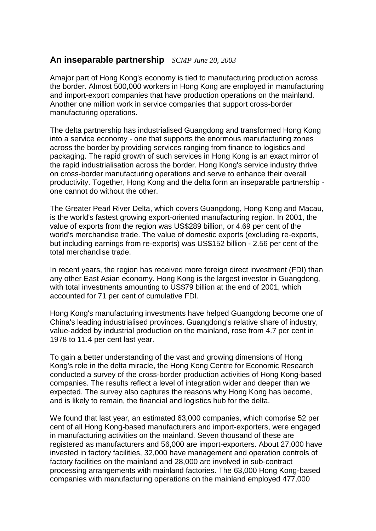## **An inseparable partnership** *SCMP June 20, 2003*

Amajor part of Hong Kong's economy is tied to manufacturing production across the border. Almost 500,000 workers in Hong Kong are employed in manufacturing and import-export companies that have production operations on the mainland. Another one million work in service companies that support cross-border manufacturing operations.

The delta partnership has industrialised Guangdong and transformed Hong Kong into a service economy - one that supports the enormous manufacturing zones across the border by providing services ranging from finance to logistics and packaging. The rapid growth of such services in Hong Kong is an exact mirror of the rapid industrialisation across the border. Hong Kong's service industry thrive on cross-border manufacturing operations and serve to enhance their overall productivity. Together, Hong Kong and the delta form an inseparable partnership one cannot do without the other.

The Greater Pearl River Delta, which covers Guangdong, Hong Kong and Macau, is the world's fastest growing export-oriented manufacturing region. In 2001, the value of exports from the region was US\$289 billion, or 4.69 per cent of the world's merchandise trade. The value of domestic exports (excluding re-exports, but including earnings from re-exports) was US\$152 billion - 2.56 per cent of the total merchandise trade.

In recent years, the region has received more foreign direct investment (FDI) than any other East Asian economy. Hong Kong is the largest investor in Guangdong, with total investments amounting to US\$79 billion at the end of 2001, which accounted for 71 per cent of cumulative FDI.

Hong Kong's manufacturing investments have helped Guangdong become one of China's leading industrialised provinces. Guangdong's relative share of industry, value-added by industrial production on the mainland, rose from 4.7 per cent in 1978 to 11.4 per cent last year.

To gain a better understanding of the vast and growing dimensions of Hong Kong's role in the delta miracle, the Hong Kong Centre for Economic Research conducted a survey of the cross-border production activities of Hong Kong-based companies. The results reflect a level of integration wider and deeper than we expected. The survey also captures the reasons why Hong Kong has become, and is likely to remain, the financial and logistics hub for the delta.

We found that last year, an estimated 63,000 companies, which comprise 52 per cent of all Hong Kong-based manufacturers and import-exporters, were engaged in manufacturing activities on the mainland. Seven thousand of these are registered as manufacturers and 56,000 are import-exporters. About 27,000 have invested in factory facilities, 32,000 have management and operation controls of factory facilities on the mainland and 28,000 are involved in sub-contract processing arrangements with mainland factories. The 63,000 Hong Kong-based companies with manufacturing operations on the mainland employed 477,000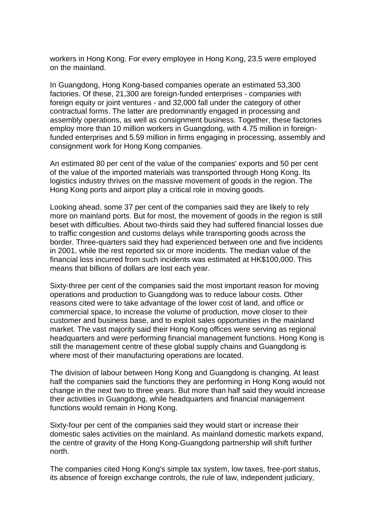workers in Hong Kong. For every employee in Hong Kong, 23.5 were employed on the mainland.

In Guangdong, Hong Kong-based companies operate an estimated 53,300 factories. Of these, 21,300 are foreign-funded enterprises - companies with foreign equity or joint ventures - and 32,000 fall under the category of other contractual forms. The latter are predominantly engaged in processing and assembly operations, as well as consignment business. Together, these factories employ more than 10 million workers in Guangdong, with 4.75 million in foreignfunded enterprises and 5.59 million in firms engaging in processing, assembly and consignment work for Hong Kong companies.

An estimated 80 per cent of the value of the companies' exports and 50 per cent of the value of the imported materials was transported through Hong Kong. Its logistics industry thrives on the massive movement of goods in the region. The Hong Kong ports and airport play a critical role in moving goods.

Looking ahead, some 37 per cent of the companies said they are likely to rely more on mainland ports. But for most, the movement of goods in the region is still beset with difficulties. About two-thirds said they had suffered financial losses due to traffic congestion and customs delays while transporting goods across the border. Three-quarters said they had experienced between one and five incidents in 2001, while the rest reported six or more incidents. The median value of the financial loss incurred from such incidents was estimated at HK\$100,000. This means that billions of dollars are lost each year.

Sixty-three per cent of the companies said the most important reason for moving operations and production to Guangdong was to reduce labour costs. Other reasons cited were to take advantage of the lower cost of land, and office or commercial space, to increase the volume of production, move closer to their customer and business base, and to exploit sales opportunities in the mainland market. The vast majority said their Hong Kong offices were serving as regional headquarters and were performing financial management functions. Hong Kong is still the management centre of these global supply chains and Guangdong is where most of their manufacturing operations are located.

The division of labour between Hong Kong and Guangdong is changing. At least half the companies said the functions they are performing in Hong Kong would not change in the next two to three years. But more than half said they would increase their activities in Guangdong, while headquarters and financial management functions would remain in Hong Kong.

Sixty-four per cent of the companies said they would start or increase their domestic sales activities on the mainland. As mainland domestic markets expand, the centre of gravity of the Hong Kong-Guangdong partnership will shift further north.

The companies cited Hong Kong's simple tax system, low taxes, free-port status, its absence of foreign exchange controls, the rule of law, independent judiciary,